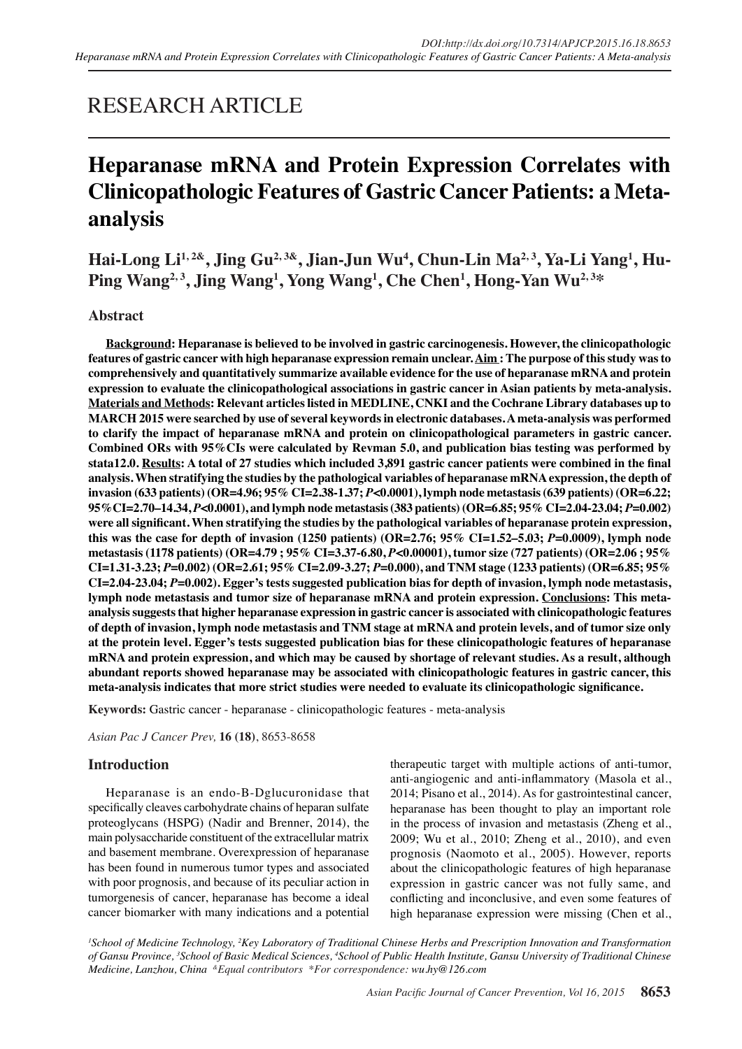## RESEARCH ARTICLE

# **Heparanase mRNA and Protein Expression Correlates with Clinicopathologic Features of Gastric Cancer Patients: a Metaanalysis**

Hai-Long Li<sup>1,2&</sup>, Jing Gu<sup>2,3&</sup>, Jian-Jun Wu<sup>4</sup>, Chun-Lin Ma<sup>2,3</sup>, Ya-Li Yang<sup>1</sup>, Hu-**Ping Wang2, 3, Jing Wang1 , Yong Wang1 , Che Chen1 , Hong-Yan Wu2, 3\***

## **Abstract**

**Background: Heparanase is believed to be involved in gastric carcinogenesis. However, the clinicopathologic features of gastric cancer with high heparanase expression remain unclear. Aim : The purpose of this study was to comprehensively and quantitatively summarize available evidence for the use of heparanase mRNA and protein expression to evaluate the clinicopathological associations in gastric cancer in Asian patients by meta-analysis. Materials and Methods: Relevant articles listed in MEDLINE, CNKI and the Cochrane Library databases up to MARCH 2015 were searched by use of several keywords in electronic databases. A meta-analysis was performed to clarify the impact of heparanase mRNA and protein on clinicopathological parameters in gastric cancer. Combined ORs with 95%CIs were calculated by Revman 5.0, and publication bias testing was performed by stata12.0. Results: A total of 27 studies which included 3,891 gastric cancer patients were combined in the final analysis. When stratifying the studies by the pathological variables of heparanase mRNA expression, the depth of invasion (633 patients) (OR=4.96; 95% CI=2.38-1.37;** *P***<0.0001), lymph node metastasis (639 patients) (OR=6.22; 95%CI=2.70–14.34,** *P***<0.0001), and lymph node metastasis (383 patients) (OR=6.85; 95% CI=2.04-23.04;** *P***=0.002) were all significant. When stratifying the studies by the pathological variables of heparanase protein expression, this was the case for depth of invasion (1250 patients) (OR=2.76; 95% CI=1.52–5.03;** *P***=0.0009), lymph node metastasis (1178 patients) (OR=4.79 ; 95% CI=3.37-6.80,** *P***<0.00001), tumor size (727 patients) (OR=2.06 ; 95% CI=1.31-3.23;** *P***=0.002) (OR=2.61; 95% CI=2.09-3.27;** *P***=0.000), and TNM stage (1233 patients) (OR=6.85; 95% CI=2.04-23.04;** *P***=0.002). Egger's tests suggested publication bias for depth of invasion, lymph node metastasis, lymph node metastasis and tumor size of heparanase mRNA and protein expression. Conclusions: This metaanalysis suggests that higher heparanase expression in gastric cancer is associated with clinicopathologic features of depth of invasion, lymph node metastasis and TNM stage at mRNA and protein levels, and of tumor size only at the protein level. Egger's tests suggested publication bias for these clinicopathologic features of heparanase mRNA and protein expression, and which may be caused by shortage of relevant studies. As a result, although abundant reports showed heparanase may be associated with clinicopathologic features in gastric cancer, this meta-analysis indicates that more strict studies were needed to evaluate its clinicopathologic significance.**

**Keywords:** Gastric cancer - heparanase - clinicopathologic features - meta-analysis

*Asian Pac J Cancer Prev,* **16 (18)**, 8653-8658

## **Introduction**

Heparanase is an endo-B-Dglucuronidase that specifically cleaves carbohydrate chains of heparan sulfate proteoglycans (HSPG) (Nadir and Brenner, 2014), the main polysaccharide constituent of the extracellular matrix and basement membrane. Overexpression of heparanase has been found in numerous tumor types and associated with poor prognosis, and because of its peculiar action in tumorgenesis of cancer, heparanase has become a ideal cancer biomarker with many indications and a potential therapeutic target with multiple actions of anti-tumor, anti-angiogenic and anti-inflammatory (Masola et al., 2014; Pisano et al., 2014). As for gastrointestinal cancer, heparanase has been thought to play an important role in the process of invasion and metastasis (Zheng et al., 2009; Wu et al., 2010; Zheng et al., 2010), and even prognosis (Naomoto et al., 2005). However, reports about the clinicopathologic features of high heparanase expression in gastric cancer was not fully same, and conflicting and inconclusive, and even some features of high heparanase expression were missing (Chen et al.,

*1 School of Medicine Technology, 2 Key Laboratory of Traditional Chinese Herbs and Prescription Innovation and Transformation of Gansu Province, 3 School of Basic Medical Sciences, 4 School of Public Health Institute, Gansu University of Traditional Chinese Medicine, Lanzhou, China &Equal contributors \*For correspondence: wu.hy@126.com*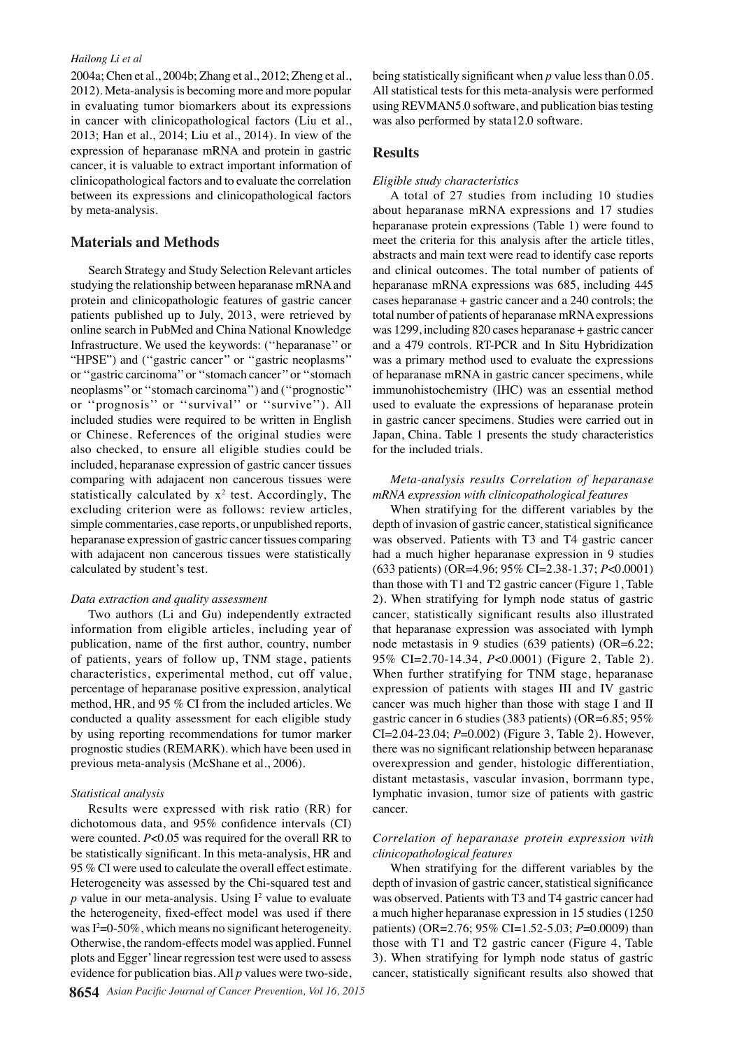#### *Hailong Li et al*

2004a; Chen et al., 2004b; Zhang et al., 2012; Zheng et al., 2012). Meta-analysis is becoming more and more popular in evaluating tumor biomarkers about its expressions in cancer with clinicopathological factors (Liu et al., 2013; Han et al., 2014; Liu et al., 2014). In view of the expression of heparanase mRNA and protein in gastric cancer, it is valuable to extract important information of clinicopathological factors and to evaluate the correlation between its expressions and clinicopathological factors by meta-analysis.

#### **Materials and Methods**

Search Strategy and Study Selection Relevant articles studying the relationship between heparanase mRNA and protein and clinicopathologic features of gastric cancer patients published up to July, 2013, were retrieved by online search in PubMed and China National Knowledge Infrastructure. We used the keywords: (''heparanase'' or "HPSE") and ("gastric cancer" or "gastric neoplasms" or ''gastric carcinoma'' or ''stomach cancer'' or ''stomach neoplasms'' or ''stomach carcinoma'') and (''prognostic'' or ''prognosis'' or ''survival'' or ''survive''). All included studies were required to be written in English or Chinese. References of the original studies were also checked, to ensure all eligible studies could be included, heparanase expression of gastric cancer tissues comparing with adajacent non cancerous tissues were statistically calculated by  $x^2$  test. Accordingly, The excluding criterion were as follows: review articles, simple commentaries, case reports, or unpublished reports, heparanase expression of gastric cancer tissues comparing with adajacent non cancerous tissues were statistically calculated by student's test.

#### *Data extraction and quality assessment*

Two authors (Li and Gu) independently extracted information from eligible articles, including year of publication, name of the first author, country, number of patients, years of follow up, TNM stage, patients characteristics, experimental method, cut off value, percentage of heparanase positive expression, analytical method, HR, and 95 % CI from the included articles. We conducted a quality assessment for each eligible study by using reporting recommendations for tumor marker prognostic studies (REMARK). which have been used in previous meta-analysis (McShane et al., 2006).

#### *Statistical analysis*

Results were expressed with risk ratio (RR) for dichotomous data, and 95% confidence intervals (CI) were counted. *P*<0.05 was required for the overall RR to be statistically significant. In this meta-analysis, HR and 95 % CI were used to calculate the overall effect estimate. Heterogeneity was assessed by the Chi-squared test and  *value in our meta-analysis. Using*  $I<sup>2</sup>$  *value to evaluate* the heterogeneity, fixed-effect model was used if there was  $I^2=0$ -50%, which means no significant heterogeneity. Otherwise, the random-effects model was applied. Funnel plots and Egger' linear regression test were used to assess evidence for publication bias. All *p* values were two-side,

being statistically significant when *p* value less than 0.05. All statistical tests for this meta-analysis were performed using REVMAN5.0 software, and publication bias testing was also performed by stata12.0 software.

#### **Results**

#### *Eligible study characteristics*

A total of 27 studies from including 10 studies about heparanase mRNA expressions and 17 studies heparanase protein expressions (Table 1) were found to meet the criteria for this analysis after the article titles, abstracts and main text were read to identify case reports and clinical outcomes. The total number of patients of heparanase mRNA expressions was 685, including 445 cases heparanase + gastric cancer and a 240 controls; the total number of patients of heparanase mRNA expressions was 1299, including 820 cases heparanase + gastric cancer and a 479 controls. RT-PCR and In Situ Hybridization was a primary method used to evaluate the expressions of heparanase mRNA in gastric cancer specimens, while immunohistochemistry (IHC) was an essential method used to evaluate the expressions of heparanase protein in gastric cancer specimens. Studies were carried out in Japan, China. Table 1 presents the study characteristics for the included trials.

#### *Meta-analysis results Correlation of heparanase mRNA expression with clinicopathological features*

When stratifying for the different variables by the depth of invasion of gastric cancer, statistical significance was observed. Patients with T3 and T4 gastric cancer had a much higher heparanase expression in 9 studies (633 patients) (OR=4.96; 95% CI=2.38-1.37; *P*<0.0001) than those with T1 and T2 gastric cancer (Figure 1, Table 2). When stratifying for lymph node status of gastric cancer, statistically significant results also illustrated that heparanase expression was associated with lymph node metastasis in 9 studies (639 patients) (OR=6.22; 95% CI=2.70-14.34, *P*<0.0001) (Figure 2, Table 2). When further stratifying for TNM stage, heparanase expression of patients with stages III and IV gastric cancer was much higher than those with stage I and II gastric cancer in 6 studies (383 patients) (OR=6.85; 95% CI=2.04-23.04; *P*=0.002) (Figure 3, Table 2). However, there was no significant relationship between heparanase overexpression and gender, histologic differentiation, distant metastasis, vascular invasion, borrmann type, lymphatic invasion, tumor size of patients with gastric cancer.

#### *Correlation of heparanase protein expression with clinicopathological features*

When stratifying for the different variables by the depth of invasion of gastric cancer, statistical significance was observed. Patients with T3 and T4 gastric cancer had a much higher heparanase expression in 15 studies (1250 patients) (OR=2.76; 95% CI=1.52-5.03; *P*=0.0009) than those with T1 and T2 gastric cancer (Figure 4, Table 3). When stratifying for lymph node status of gastric cancer, statistically significant results also showed that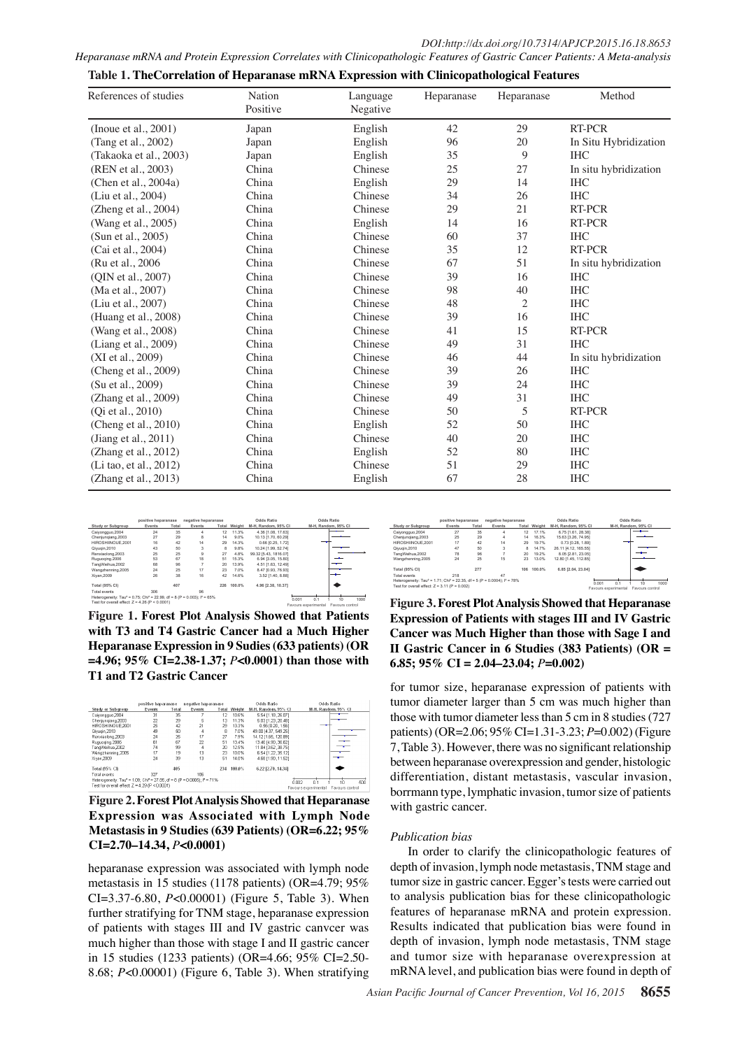| Heparanase mRNA and Protein Expression Correlates with Clinicopathologic Features of Gastric Cancer Patients: A Meta-analysis |  |  |
|-------------------------------------------------------------------------------------------------------------------------------|--|--|
|-------------------------------------------------------------------------------------------------------------------------------|--|--|

| References of studies   | Nation   | Language | Heparanase | Heparanase     | Method                |
|-------------------------|----------|----------|------------|----------------|-----------------------|
|                         | Positive | Negative |            |                |                       |
| (Inoue et al., 2001)    | Japan    | English  | 42         | 29             | RT-PCR                |
| (Tang et al., 2002)     | Japan    | English  | 96         | 20             | In Situ Hybridization |
| (Takaoka et al., 2003)  | Japan    | English  | 35         | 9              | <b>IHC</b>            |
| (REN et al., 2003)      | China    | Chinese  | 25         | 27             | In situ hybridization |
| (Chen et al., 2004a)    | China    | English  | 29         | 14             | <b>IHC</b>            |
| (Liu et al., 2004)      | China    | Chinese  | 34         | 26             | <b>IHC</b>            |
| (Zheng et al., 2004)    | China    | Chinese  | 29         | 21             | <b>RT-PCR</b>         |
| (Wang et al., 2005)     | China    | English  | 14         | 16             | RT-PCR                |
| (Sun et al., 2005)      | China    | Chinese  | 60         | 37             | <b>IHC</b>            |
| (Cai et al., 2004)      | China    | Chinese  | 35         | 12             | RT-PCR                |
| (Ru et al., 2006)       | China    | Chinese  | 67         | 51             | In situ hybridization |
| (OIN et al., 2007)      | China    | Chinese  | 39         | 16             | <b>IHC</b>            |
| (Ma et al., 2007)       | China    | Chinese  | 98         | $40\,$         | <b>IHC</b>            |
| (Liu et al., 2007)      | China    | Chinese  | 48         | $\overline{c}$ | <b>IHC</b>            |
| (Huang et al., 2008)    | China    | Chinese  | 39         | 16             | <b>IHC</b>            |
| (Wang et al., 2008)     | China    | Chinese  | 41         | 15             | RT-PCR                |
| (Liang et al., 2009)    | China    | Chinese  | 49         | 31             | <b>IHC</b>            |
| (XI et al., 2009)       | China    | Chinese  | 46         | 44             | In situ hybridization |
| (Cheng et al., 2009)    | China    | Chinese  | 39         | 26             | <b>IHC</b>            |
| (Su et al., 2009)       | China    | Chinese  | 39         | 24             | <b>IHC</b>            |
| (Zhang et al., 2009)    | China    | Chinese  | 49         | 31             | <b>IHC</b>            |
| (Qi et al., 2010)       | China    | Chinese  | 50         | 5              | RT-PCR                |
| (Cheng et al., 2010)    | China    | English  | 52         | 50             | <b>IHC</b>            |
| (Jiang et al., $2011$ ) | China    | Chinese  | 40         | 20             | <b>IHC</b>            |
| (Zhang et al., 2012)    | China    | English  | 52         | $80\,$         | <b>IHC</b>            |
| (Li tao, et al., 2012)  | China    | Chinese  | 51         | 29             | <b>IHC</b>            |
| (Zhang et al., 2013)    | China    | English  | 67         | 28             | <b>IHC</b>            |

|  | Table 1. TheCorrelation of Heparanase mRNA Expression with Clinicopathological Features |  |  |
|--|-----------------------------------------------------------------------------------------|--|--|
|  |                                                                                         |  |  |
|  |                                                                                         |  |  |

|                                                                                                   | positive heparanase |       | negative heparanase |     |                     | Odds Ratio            |                         | Odds Ratio          |      |
|---------------------------------------------------------------------------------------------------|---------------------|-------|---------------------|-----|---------------------|-----------------------|-------------------------|---------------------|------|
| <b>Study or Subgroup</b>                                                                          | Events              | Total | Events              |     | <b>Total Weight</b> | M-H. Random, 95% CI   |                         | M-H. Random, 95% CI |      |
| Calyongquo, 2004                                                                                  | 24                  | 35    | 4                   | 12  | 11.3%               | 4.36 (1.08, 17.63)    |                         |                     |      |
| Cheniungiang.2003                                                                                 | 27                  | 29    | R                   | 14  | 9.0%                | 10.13 (1.70, 60.29)   |                         |                     |      |
| HIROSHIINOUE.2001                                                                                 | 16                  | 42    | 14                  | 29  | 14.3%               | 0.66 (0.25, 1.72)     |                         |                     |      |
| Qivuqin.2010                                                                                      | 43                  | 50    | 3                   | 8   | 9.8%                | 10.24 (1.99, 52.74)   |                         |                     |      |
| Renxiaolong.2003                                                                                  | 25                  | 25    | a                   | 27  | 4.8%                | 99.32 (5.43, 1816.07) |                         |                     |      |
| Ruguoging.2006                                                                                    | 53                  | 67    | 18                  | 51  | 15.3%               | 6.94 (3.05, 15.80)    |                         |                     |      |
| TangWeihua.2002                                                                                   | 68                  | 96    |                     | 20  | 13.9%               | 4.51 [1.63, 12.49]    |                         |                     |      |
| Wangzhenning.2005                                                                                 | 24                  | 25    | 17                  | 23  | 7.0%                | 8.47 (0.93, 76.93)    |                         |                     |      |
| Xivan.2009                                                                                        | 26                  | 38    | 16                  | 42  | 14.6%               | 3.52 (1.40, 8.88)     |                         |                     |      |
|                                                                                                   |                     |       |                     |     |                     |                       |                         |                     |      |
| Total (95% CI)                                                                                    |                     | 407   |                     | 226 | 100.0%              | 4.96 [2.38, 10.37]    |                         |                     |      |
| <b>Zotal events</b>                                                                               | 306                 |       | 96                  |     |                     |                       |                         |                     |      |
| Heterogeneity: Tau <sup>2</sup> = 0.75: Chi <sup>2</sup> = 22.99. df = 8 (P = 0.003): $I^2$ = 65% |                     |       |                     |     |                     |                       | 0 <sub>1</sub><br>0.001 | 10                  | 1000 |
| Test for overall effect: $Z = 4.26$ (P < 0.0001)                                                  |                     |       |                     |     |                     |                       | Favours experimental    | Favours control     |      |
|                                                                                                   |                     |       |                     |     |                     |                       |                         |                     |      |

**Figure 1. Forest Plot Analysis Showed that Patients with T3 and T4 Gastric Cancer had a Much Higher Heparanase Expression in 9 Sudies (633 patients) (OR =4.96; 95% CI=2.38-1.37;** *P***<0.0001) than those with T1 and T2 Gastric Cancer**

|                                                                                                | positive haparanase |       | negative haparanase |           | Odds Ratio          |                      | Odds Ratio                              |
|------------------------------------------------------------------------------------------------|---------------------|-------|---------------------|-----------|---------------------|----------------------|-----------------------------------------|
| <b>Study or Subgroup</b>                                                                       | Events              | Total | Events              |           | <b>Total Weight</b> | M-H. Random, 95% Cl  | M-H, Random, 95% CI                     |
| Caiyongguo 2004                                                                                | 31                  | 35    |                     | $12^{12}$ | 10.6%               | 5.54 [1.18, 26.07]   |                                         |
| Chenjungiang 2003                                                                              | 22                  | 29    | 5                   | 13        | 11.3%               | 5.03 (1.23. 20.48)   |                                         |
| HIROSHINOUE 2001                                                                               | 25                  | 42    | 21                  | 29        | 13.3%               | 0.56 (0.20, 1.56)    |                                         |
| Qiyuqin, 2010                                                                                  | 49                  | 50    | 4                   | я         | 7.0%                | 49.00 [4.37, 549.25] |                                         |
| Renxiaolong.2003                                                                               | 24                  | 25    | 17                  | 27        | 7.9%                | 14.12 (1.65, 120.89) |                                         |
| Ruguoging.2006                                                                                 | 61                  | 67    | 22                  | 51        | 13.4%               | 13.40 (4.90, 36.62)  |                                         |
| TangWeihua 2002                                                                                | 74                  | 99    | 4                   | 20        | 12.5%               | 11.84 (3.62, 36.75)  |                                         |
| Wangzhenning, 2005                                                                             | 17                  | 19    | 13                  | 23        | 10.0%               | 6.54 [1.22, 35.12]   |                                         |
| Xivan 2009                                                                                     | 24                  | 39    | 13                  | 51        | 14.0%               | 4.68 (1.90, 11.52)   |                                         |
| Total (95% CI)                                                                                 |                     | 405   |                     | 234       | 100.0%              | 6.22 [2.70, 14.34]   |                                         |
| Total events                                                                                   | 327                 |       | 106                 |           |                     |                      |                                         |
| Heterogeneity: Tau <sup>2</sup> = 1.09; Chi <sup>2</sup> = 27.85, df = 8 (P = 0.0005); F = 71% |                     |       |                     |           |                     |                      | rinn?<br>n.<br>smi<br>1n                |
| Test for overall effect: $Z = 4.29$ (P < $0.0001$ )                                            |                     |       |                     |           |                     |                      | Favours control<br>Favours experimental |

**Figure 2. Forest Plot Analysis Showed that Heparanase Expression was Associated with Lymph Node Metastasis in 9 Studies (639 Patients) (OR=6.22; 95% CI=2.70–14.34,** *P***<0.0001)**

heparanase expression was associated with lymph node metastasis in 15 studies (1178 patients) (OR=4.79; 95% CI=3.37-6.80, *P*<0.00001) (Figure 5, Table 3). When further stratifying for TNM stage, heparanase expression of patients with stages III and IV gastric canvcer was much higher than those with stage I and II gastric cancer in 15 studies (1233 patients) (OR=4.66; 95% CI=2.50- 8.68; *P*<0.00001) (Figure 6, Table 3). When stratifying



**Figure 3. Forest Plot Analysis Showed that Heparanase Expression of Patients with stages III and IV Gastric Cancer was Much Higher than those with Sage I and II Gastric Cancer in 6 Studies (383 Patients) (OR = 6.85; 95% CI = 2.04–23.04;** *P***=0.002)**

for tumor size, heparanase expression of patients with tumor diameter larger than 5 cm was much higher than those with tumor diameter less than 5 cm in 8 studies (727 patients) (OR=2.06; 95% CI=1.31-3.23; *P*=0.002) (Figure 7, Table 3). However, there was no significant relationship between heparanase overexpression and gender, histologic differentiation, distant metastasis, vascular invasion, borrmann type, lymphatic invasion, tumor size of patients with gastric cancer.

#### *Publication bias*

In order to clarify the clinicopathologic features of depth of invasion, lymph node metastasis, TNM stage and tumor size in gastric cancer. Egger's tests were carried out to analysis publication bias for these clinicopathologic features of heparanase mRNA and protein expression. Results indicated that publication bias were found in depth of invasion, lymph node metastasis, TNM stage and tumor size with heparanase overexpression at mRNA level, and publication bias were found in depth of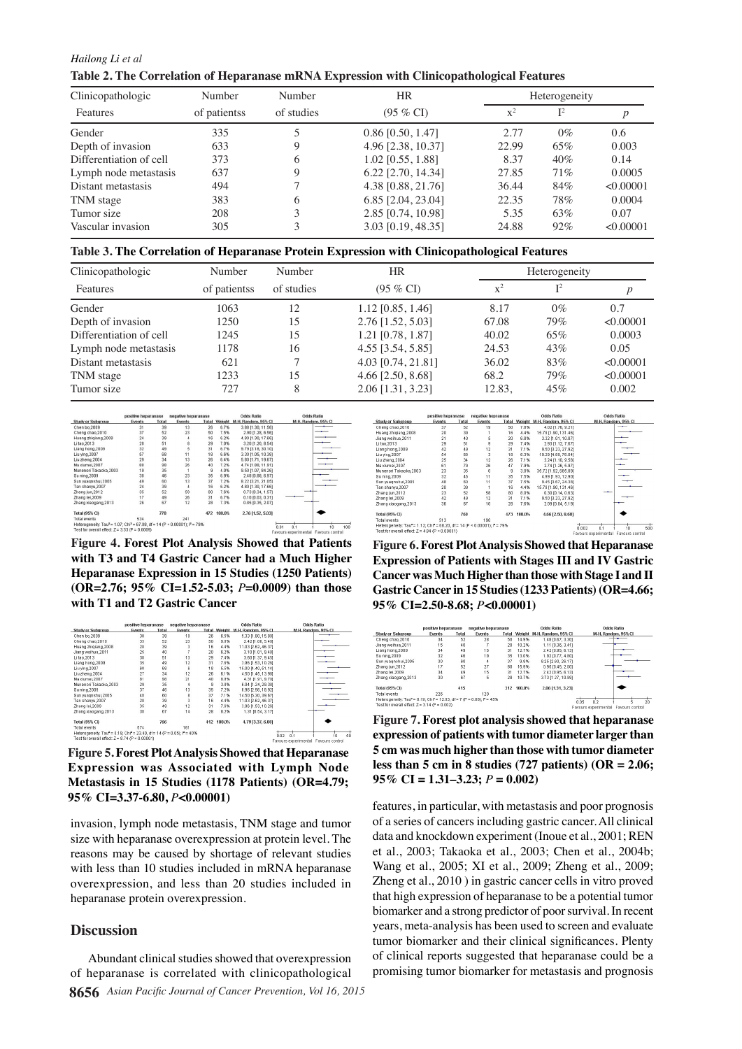*Hailong Li et al* **Table 2. The Correlation of Heparanase mRNA Expression with Clinicopathological Features**

| Clinicopathologic       | Number<br>Number<br>of studies<br>of patientss |   | <b>HR</b>           |       | Heterogeneity  |           |  |  |
|-------------------------|------------------------------------------------|---|---------------------|-------|----------------|-----------|--|--|
| Features                |                                                |   | $(95\% \text{ CI})$ | $x^2$ | $\mathbf{I}^2$ |           |  |  |
| Gender                  | 335                                            |   | $0.86$ [0.50, 1.47] | 2.77  | $0\%$          | 0.6       |  |  |
| Depth of invasion       | 633                                            | 9 | 4.96 [2.38, 10.37]  | 22.99 | 65%            | 0.003     |  |  |
| Differentiation of cell | 373                                            | 6 | 1.02 [0.55, 1.88]   | 8.37  | 40%            | 0.14      |  |  |
| Lymph node metastasis   | 637                                            | 9 | 6.22 [2.70, 14.34]  | 27.85 | 71%            | 0.0005    |  |  |
| Distant metastasis      | 494                                            |   | 4.38 [0.88, 21.76]  | 36.44 | 84%            | < 0.00001 |  |  |
| TNM stage               | 383                                            | 6 | 6.85 [2.04, 23.04]  | 22.35 | 78%            | 0.0004    |  |  |
| Tumor size              | 208                                            |   | 2.85 [0.74, 10.98]  | 5.35  | 63%            | 0.07      |  |  |
| Vascular invasion       | 305                                            | 3 | 3.03 [0.19, 48.35]  | 24.88 | $92\%$         | < 0.00001 |  |  |

**Table 3. The Correlation of Heparanase Protein Expression with Clinicopathological Features**

| Clinicopathologic       | Number       | Number                            | <b>HR</b>           |        | Heterogeneity  |           |  |  |
|-------------------------|--------------|-----------------------------------|---------------------|--------|----------------|-----------|--|--|
| Features                | of patientss | $(95\% \text{ CI})$<br>of studies |                     | $x^2$  | $\mathbf{I}^2$ |           |  |  |
| Gender                  | 1063         | 12                                | $1.12$ [0.85, 1.46] | 8.17   | $0\%$          | 0.7       |  |  |
| Depth of invasion       | 1250         | 15                                | 2.76 [1.52, 5.03]   | 67.08  | 79%            | < 0.00001 |  |  |
| Differentiation of cell | 1245         | 15                                | 1.21 [0.78, 1.87]   | 40.02  | 65%            | 0.0003    |  |  |
| Lymph node metastasis   | 1178         | 16                                | 4.55 [3.54, 5.85]   | 24.53  | 43%            | 0.05      |  |  |
| Distant metastasis      | 621          |                                   | 4.03 [0.74, 21.81]  | 36.02  | 83%            | < 0.00001 |  |  |
| TNM stage               | 1233         | 15                                | 4.66 [2.50, 8.68]   | 68.2   | 79%            | < 0.00001 |  |  |
| Tumor size              | 727          | 8                                 | 2.06 [1.31, 3.23]   | 12.83, | 45%            | 0.002     |  |  |

|                                                                                                  | positive heparanase |       | negative heparanase |       |        | <b>Odds Ratio</b>          | <b>Odds Ratio</b>                                         |
|--------------------------------------------------------------------------------------------------|---------------------|-------|---------------------|-------|--------|----------------------------|-----------------------------------------------------------|
| <b>Study or Subgroup</b>                                                                         | Events              | Total | Events              | Total |        | Weight M-H, Random, 95% CI | M-H. Random, 95% CI                                       |
| Chen bo.2009                                                                                     | 31                  | 39    | 13                  | 26    | 6.7%   | 3.88 [1.30, 11.56]         |                                                           |
| Cheng chao.2010                                                                                  | 37                  | 52    | 23                  | 50    | 7.5%   | 2.90 [1.28, 6.56]          |                                                           |
| Huang zhigiang, 2008                                                                             | 24                  | 39    | 4                   | 16    | 6.2%   | 4.80 [1.30, 17.66]         |                                                           |
| Li tao. 2013                                                                                     | 28                  | 51    | 8                   | 29    | 7.0%   | 3.20 (1.20, 8.54)          |                                                           |
| Liang hong, 2009                                                                                 | 32                  | 49    | 5                   | 31    | 6.7%   | 9.79 [3.18, 30.10]         |                                                           |
| Liu ving.2007                                                                                    | 57                  | 68    | 11                  | 18    | 6.6%   | 3.30 (1.05, 10.38)         |                                                           |
| Liu zhena.2004                                                                                   | 29                  | 34    | 13                  | 26    | 6.4%   | 5.80 [1.71, 19.67]         |                                                           |
| Ma xiumei, 2007                                                                                  | 88                  | 98    | 26                  | 40    | 7.2%   | 4.74 [1.88, 11.91]         |                                                           |
| Munenori Takaoka.2003                                                                            | 19                  | 35    |                     | 9     | 4.0%   | 9.50 [1.07, 84.26]         |                                                           |
| Su ning, 2009                                                                                    | 38                  | 46    | 23                  | 35    | 6.9%   | 2.48 [0.88, 6.97]          |                                                           |
| Sun yuagnshui.2005                                                                               | 49                  | 60    | 13                  | 37    | 7.2%   | 8.22 (3.21, 21.05)         |                                                           |
| Tan shanyu, 2007                                                                                 | 24                  | 39    | 4                   | 16    | 6.2%   | 4.80 [1.30, 17.66]         |                                                           |
| Zhang jun, 2012                                                                                  | 35                  | 52    | 59                  | 80    | 7.6%   | 0.73 [0.34, 1.57]          |                                                           |
| Zhang lei, 2009                                                                                  | 17                  | 49    | 26                  | 31    | 6.7%   | 0.10 (0.03, 0.31)          |                                                           |
| Zhang xiaogang, 2013                                                                             | 26                  | 67    | 12                  | 28    | 7.3%   | 0.85 [0.35, 2.07]          |                                                           |
| Total (95% CD                                                                                    |                     | 778   |                     | 472   | 100.0% | 2.76 [1.52, 5.03]          |                                                           |
| <b>Total events</b>                                                                              | 534                 |       | 241                 |       |        |                            |                                                           |
| Heterogeneity: Tau <sup>2</sup> = 1.07; Chi <sup>2</sup> = 67.08, df = 14 (P < 0.00001); P = 79% |                     |       |                     |       |        |                            | n'i                                                       |
| Test for overall effect $Z = 3.33$ (P = 0.0009)                                                  |                     |       |                     |       |        |                            | 0.01<br>100<br>10<br>Favours experimental Favours control |

**Figure 4. Forest Plot Analysis Showed that Patients with T3 and T4 Gastric Cancer had a Much Higher Heparanase Expression in 15 Studies (1250 Patients) (OR=2.76; 95% CI=1.52-5.03;** *P***=0.0009) than those with T1 and T2 Gastric Cancer**

|                                                                        | positive heparanase<br>Events<br>Total |     | negative heparanase |     |                               | Odds Ratio          | Odds Ratio               |
|------------------------------------------------------------------------|----------------------------------------|-----|---------------------|-----|-------------------------------|---------------------|--------------------------|
| <b>Study or Subgroup</b>                                               |                                        |     | Events<br>Total     |     | Weight<br>M-H. Random, 95% CI |                     | M-H. Random, 95% CI      |
| Chen bo.2009                                                           | 30                                     | 39  | 10                  | 26  | 6.5%                          | 5.33 [1.80, 15.80]  |                          |
| Cheng chao.2010                                                        | 35                                     | 52  | 23                  | 50  | 9.0%                          | 2.42 [1.08, 5.40]   |                          |
| Huang zhigiang, 2008                                                   | 28                                     | 39  |                     | 16  | 4.4%                          | 11.03 [2.62, 46.37] |                          |
| Jiano weihua.2011                                                      | 25                                     | 40  |                     | 20  | 6.2%                          | 3.10 f1.01.9.48     |                          |
| Li tao, 2013                                                           | 38                                     | 51  | 13                  | 29  | 7.4%                          | 3.60 [1.37, 9.45]   |                          |
| Liang hong, 2009                                                       | 35                                     | 49  | 12                  | 31  | 7.6%                          | 3.96 [1.53, 10.26]  |                          |
| Liu ying, 2007                                                         | 60                                     | 68  | 6                   | 18  | 5.5%                          | 15.00 [4.40, 51.14] |                          |
| Liu zheng, 2004                                                        | 27                                     | 34  | 12                  | 26  | 6.1%                          | 4.50 [1.45, 13.98]  |                          |
| Ma xiumei, 2007                                                        | 81                                     | 98  | 21                  | 40  | 8.9%                          | 4.31 [1.91, 9.70]   |                          |
| Munenori Takaoka,2003                                                  | 29                                     | 35  | 4                   | 9   | 3.8%                          | 6.04 [1.24, 29.38]  |                          |
| Su ning, 2009                                                          | 37                                     | 46  | 13                  | 35  | 7.2%                          | 6.96 [2.56, 18.92]  |                          |
| Sun vuagnshui.2005                                                     | 48                                     | 60  | 8                   | 37  | 7.1%                          | 14.50 (5.30, 39.67) |                          |
| Tan shanyu, 2007                                                       | 28                                     | 39  | 3                   | 16  | 4.4%                          | 11.03 [2.62, 46.37] |                          |
| Zhang lei.2009                                                         | 35                                     | 49  | 12                  | 31  | 7.6%                          | 3.96 [1.53, 10.26]  |                          |
| Zhang xiaogang, 2013                                                   | 38                                     | 67  | 14                  | 28  | 8.2%                          | 1.31 (0.54, 3.17)   |                          |
| <b>Total (95% CD)</b>                                                  |                                        | 766 |                     | 412 | 100.0%                        | 4.79 [3.37, 6.80]   |                          |
| Total events                                                           | 574                                    |     | 161                 |     |                               |                     |                          |
| Heterogeneity: Tau" = 0.19; Chi" = 23.40, df = 14 (P = 0.05); I" = 40% |                                        |     |                     |     |                               |                     | 50<br>0.1<br>0.02<br>1'n |
| Fest for overall effect: $Z = 8.74$ (P < $0.00001$ )                   |                                        |     |                     |     |                               |                     |                          |

**Figure 5. Forest Plot Analysis Showed that Heparanase Expression was Associated with Lymph Node Metastasis in 15 Studies (1178 Patients) (OR=4.79; 95% CI=3.37-6.80,** *P***<0.00001)**

invasion, lymph node metastasis, TNM stage and tumor size with heparanase overexpression at protein level. The reasons may be caused by shortage of relevant studies with less than 10 studies included in mRNA heparanase overexpression, and less than 20 studies included in heparanase protein overexpression.

### **Discussion**

**8656** *Asian Pacific Journal of Cancer Prevention, Vol 16, 2015* Abundant clinical studies showed that overexpression of heparanase is correlated with clinicopathological



**Figure 6. Forest Plot Analysis Showed that Heparanase Expression of Patients with Stages III and IV Gastric Cancer was Much Higher than those with Stage I and II Gastric Cancer in 15 Studies (1233 Patients) (OR=4.66; 95% CI=2.50-8.68;** *P***<0.00001)**

|                                                                       | positive heparanase |       | negative heparanase |     |        | <b>Odds Ratio</b>                | <b>Odds Ratio</b>                  |                       |
|-----------------------------------------------------------------------|---------------------|-------|---------------------|-----|--------|----------------------------------|------------------------------------|-----------------------|
| Study or Subgroup                                                     | <b>Events</b>       | Total | Events              |     |        | Total Weight M-H, Random, 95% CI | M-H, Random, 95% CI                |                       |
| Cheng chao.2010                                                       | 34                  | 52    | 28                  | 50  | 14.9%  | 1.48 (0.67, 3.30)                |                                    |                       |
| Jiang weihua.2011                                                     | 15                  | 40    |                     | 20  | 10.2%  | 1.11 (0.36, 3.41)                |                                    |                       |
| Liang hong, 2009                                                      | 34                  | 49    | 15                  | 31  | 12.7%  | 2.42 [0.95, 6.13]                |                                    |                       |
| Su ning.2009                                                          | 32                  | 46    | 19                  | 35  | 13.0%  | 1.92 (0.77, 4.80)                |                                    |                       |
| Sun vuagnshui.2005                                                    | 30                  | 60    | 4                   | 37  | 9.8%   | 8.25 (2.60, 26.17)               |                                    |                       |
| Zhang jun, 2012                                                       | 17                  | 52    | 27                  | 80  | 15.9%  | 0.95 [0.45, 2.00]                |                                    |                       |
| Zhang lei.2009                                                        | 34                  | 49    | 15                  | 31  | 12.7%  | 2.42 (0.95, 6.13)                |                                    |                       |
| Zhang xiaogang, 2013                                                  | 30                  | 67    | 5                   | 28  | 10.7%  | 3.73 [1.27, 10.99]               |                                    |                       |
| Total (95% CI)                                                        |                     | 415   |                     | 312 | 100.0% | 2.06 [1.31, 3.23]                |                                    |                       |
| Total events                                                          | 226                 |       | 120                 |     |        |                                  |                                    |                       |
| Heterogeneity: Tau* = 0.19; Chif = 12.83, df = 7 (P = 0.08); i* = 45% |                     |       |                     |     |        |                                  |                                    |                       |
| Test for overall effect: $Z = 3.14$ ( $P = 0.002$ )                   |                     |       |                     |     |        |                                  | 0.05<br>0.2<br>avours experimental | 20<br>Favours control |

**Figure 7. Forest plot analysis showed that heparanase expression of patients with tumor diameter larger than 5 cm was much higher than those with tumor diameter less than 5 cm in 8 studies (727 patients) (OR = 2.06; 95% CI = 1.31–3.23;** *P* **= 0.002)**

features, in particular, with metastasis and poor prognosis of a series of cancers including gastric cancer. All clinical data and knockdown experiment (Inoue et al., 2001; REN et al., 2003; Takaoka et al., 2003; Chen et al., 2004b; Wang et al., 2005; XI et al., 2009; Zheng et al., 2009; Zheng et al., 2010 ) in gastric cancer cells in vitro proved that high expression of heparanase to be a potential tumor biomarker and a strong predictor of poor survival. In recent years, meta-analysis has been used to screen and evaluate tumor biomarker and their clinical significances. Plenty of clinical reports suggested that heparanase could be a promising tumor biomarker for metastasis and prognosis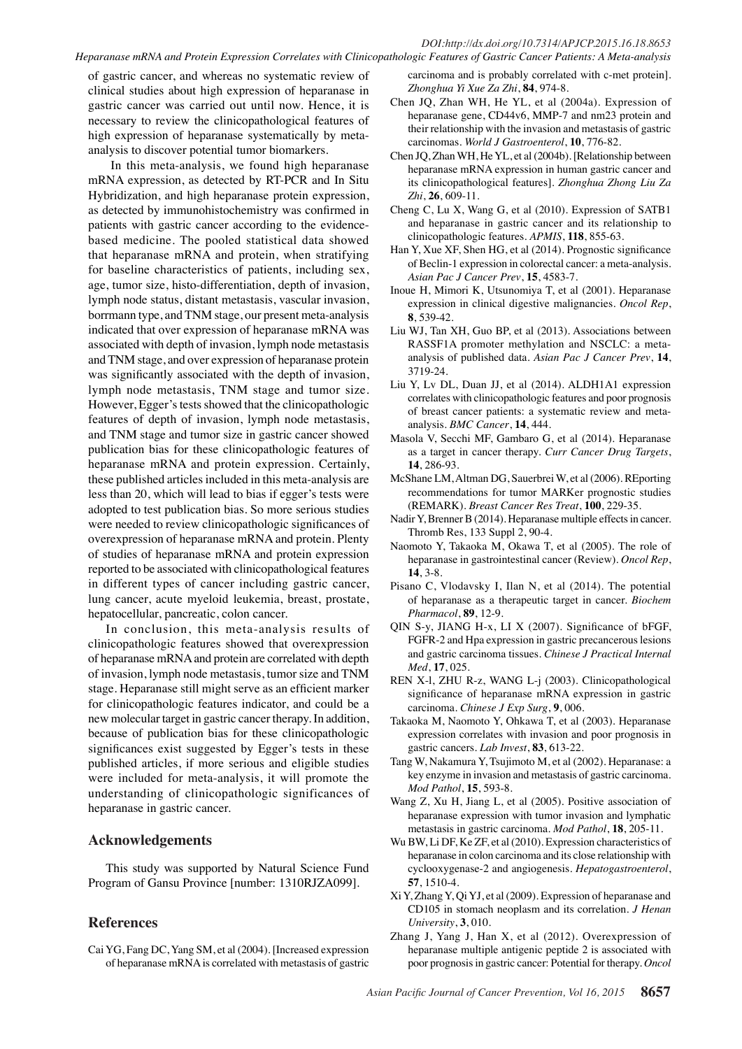#### *DOI:http://dx.doi.org/10.7314/APJCP.2015.16.18.8653 Heparanase mRNA and Protein Expression Correlates with Clinicopathologic Features of Gastric Cancer Patients: A Meta-analysis*

of gastric cancer, and whereas no systematic review of clinical studies about high expression of heparanase in gastric cancer was carried out until now. Hence, it is necessary to review the clinicopathological features of high expression of heparanase systematically by metaanalysis to discover potential tumor biomarkers.

 In this meta-analysis, we found high heparanase mRNA expression, as detected by RT-PCR and In Situ Hybridization, and high heparanase protein expression, as detected by immunohistochemistry was confirmed in patients with gastric cancer according to the evidencebased medicine. The pooled statistical data showed that heparanase mRNA and protein, when stratifying for baseline characteristics of patients, including sex, age, tumor size, histo-differentiation, depth of invasion, lymph node status, distant metastasis, vascular invasion, borrmann type, and TNM stage, our present meta-analysis indicated that over expression of heparanase mRNA was associated with depth of invasion, lymph node metastasis and TNM stage, and over expression of heparanase protein was significantly associated with the depth of invasion, lymph node metastasis, TNM stage and tumor size. However, Egger's tests showed that the clinicopathologic features of depth of invasion, lymph node metastasis, and TNM stage and tumor size in gastric cancer showed publication bias for these clinicopathologic features of heparanase mRNA and protein expression. Certainly, these published articles included in this meta-analysis are less than 20, which will lead to bias if egger's tests were adopted to test publication bias. So more serious studies were needed to review clinicopathologic significances of overexpression of heparanase mRNA and protein. Plenty of studies of heparanase mRNA and protein expression reported to be associated with clinicopathological features in different types of cancer including gastric cancer, lung cancer, acute myeloid leukemia, breast, prostate, hepatocellular, pancreatic, colon cancer.

In conclusion, this meta-analysis results of clinicopathologic features showed that overexpression of heparanase mRNA and protein are correlated with depth of invasion, lymph node metastasis, tumor size and TNM stage. Heparanase still might serve as an efficient marker for clinicopathologic features indicator, and could be a new molecular target in gastric cancer therapy. In addition, because of publication bias for these clinicopathologic significances exist suggested by Egger's tests in these published articles, if more serious and eligible studies were included for meta-analysis, it will promote the understanding of clinicopathologic significances of heparanase in gastric cancer.

## **Acknowledgements**

This study was supported by Natural Science Fund Program of Gansu Province [number: 1310RJZA099].

## **References**

Cai YG, Fang DC, Yang SM, et al (2004). [Increased expression of heparanase mRNA is correlated with metastasis of gastric

carcinoma and is probably correlated with c-met protein]. *Zhonghua Yi Xue Za Zhi*, **84**, 974-8.

- Chen JQ, Zhan WH, He YL, et al (2004a). Expression of heparanase gene, CD44v6, MMP-7 and nm23 protein and their relationship with the invasion and metastasis of gastric carcinomas. *World J Gastroenterol*, **10**, 776-82.
- Chen JQ, Zhan WH, He YL, et al (2004b). [Relationship between heparanase mRNA expression in human gastric cancer and its clinicopathological features]. *Zhonghua Zhong Liu Za Zhi*, **26**, 609-11.
- Cheng C, Lu X, Wang G, et al (2010). Expression of SATB1 and heparanase in gastric cancer and its relationship to clinicopathologic features. *APMIS*, **118**, 855-63.
- Han Y, Xue XF, Shen HG, et al (2014). Prognostic significance of Beclin-1 expression in colorectal cancer: a meta-analysis. *Asian Pac J Cancer Prev*, **15**, 4583-7.
- Inoue H, Mimori K, Utsunomiya T, et al (2001). Heparanase expression in clinical digestive malignancies. *Oncol Rep*, **8**, 539-42.
- Liu WJ, Tan XH, Guo BP, et al (2013). Associations between RASSF1A promoter methylation and NSCLC: a metaanalysis of published data. *Asian Pac J Cancer Prev*, **14**, 3719-24.
- Liu Y, Lv DL, Duan JJ, et al (2014). ALDH1A1 expression correlates with clinicopathologic features and poor prognosis of breast cancer patients: a systematic review and metaanalysis. *BMC Cancer*, **14**, 444.
- Masola V, Secchi MF, Gambaro G, et al (2014). Heparanase as a target in cancer therapy. *Curr Cancer Drug Targets*, **14**, 286-93.
- McShane LM, Altman DG, Sauerbrei W, et al (2006). REporting recommendations for tumor MARKer prognostic studies (REMARK). *Breast Cancer Res Treat*, **100**, 229-35.
- Nadir Y, Brenner B (2014). Heparanase multiple effects in cancer. Thromb Res, 133 Suppl 2, 90-4.
- Naomoto Y, Takaoka M, Okawa T, et al (2005). The role of heparanase in gastrointestinal cancer (Review). *Oncol Rep*, **14**, 3-8.
- Pisano C, Vlodavsky I, Ilan N, et al (2014). The potential of heparanase as a therapeutic target in cancer. *Biochem Pharmacol*, **89**, 12-9.
- QIN S-y, JIANG H-x, LI X (2007). Significance of bFGF, FGFR-2 and Hpa expression in gastric precancerous lesions and gastric carcinoma tissues. *Chinese J Practical Internal Med*, **17**, 025.
- REN X-l, ZHU R-z, WANG L-j (2003). Clinicopathological significance of heparanase mRNA expression in gastric carcinoma. *Chinese J Exp Surg*, **9**, 006.
- Takaoka M, Naomoto Y, Ohkawa T, et al (2003). Heparanase expression correlates with invasion and poor prognosis in gastric cancers. *Lab Invest*, **83**, 613-22.
- Tang W, Nakamura Y, Tsujimoto M, et al (2002). Heparanase: a key enzyme in invasion and metastasis of gastric carcinoma. *Mod Pathol*, **15**, 593-8.
- Wang Z, Xu H, Jiang L, et al (2005). Positive association of heparanase expression with tumor invasion and lymphatic metastasis in gastric carcinoma. *Mod Pathol*, **18**, 205-11.
- Wu BW, Li DF, Ke ZF, et al (2010). Expression characteristics of heparanase in colon carcinoma and its close relationship with cyclooxygenase-2 and angiogenesis. *Hepatogastroenterol*, **57**, 1510-4.
- Xi Y, Zhang Y, Qi YJ, et al (2009). Expression of heparanase and CD105 in stomach neoplasm and its correlation. *J Henan University*, **3**, 010.
- Zhang J, Yang J, Han X, et al (2012). Overexpression of heparanase multiple antigenic peptide 2 is associated with poor prognosis in gastric cancer: Potential for therapy. *Oncol*